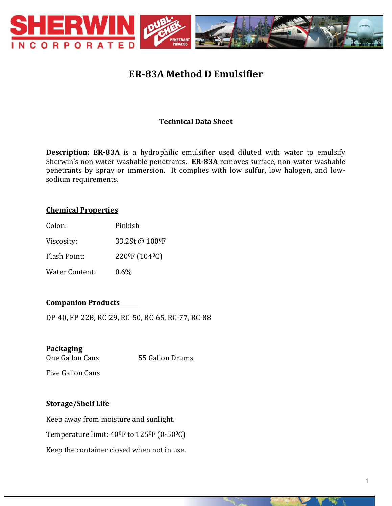

# **ER-83A Method D Emulsifier**

# **Technical Data Sheet**

**Description: ER-83A** is a hydrophilic emulsifier used diluted with water to emulsify Sherwin's non water washable penetrants**. ER-83A** removes surface, non-water washable penetrants by spray or immersion. It complies with low sulfur, low halogen, and lowsodium requirements.

# **Chemical Properties**

| Color:         | Pinkish                                 |
|----------------|-----------------------------------------|
| Viscosity:     | 33.2St @ 100°F                          |
| Flash Point:   | 220 <sup>0</sup> F (104 <sup>0</sup> C) |
| Water Content: | $0.6\%$                                 |

# **Companion Products**

DP-40, FP-22B, RC-29, RC-50, RC-65, RC-77, RC-88

## **Packaging**

One Gallon Cans 55 Gallon Drums

Five Gallon Cans

# **Storage/Shelf Life**

Keep away from moisture and sunlight. Temperature limit:  $40^{\circ}$ F to  $125^{\circ}$ F (0-50 $^{\circ}$ C) Keep the container closed when not in use.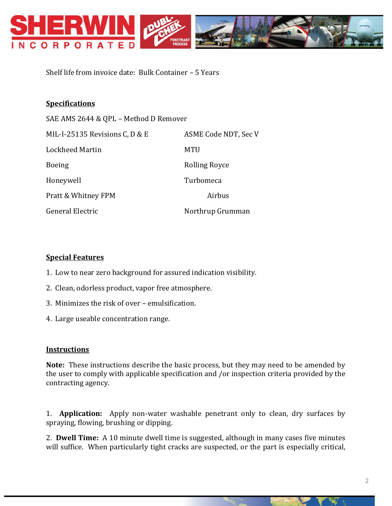

Shelf life from invoice date: Bulk Container – 5 Years

### **Specifications**

SAE AMS 2644 & QPL – Method D Remover MIL-I-25135 Revisions C, D & E ASME Code NDT, Sec V Lockheed Martin MTU Boeing Rolling Royce Honeywell Turbomeca Pratt & Whitney FPM Airbus General Electric Northrup Grumman

#### **Special Features**

- 1. Low to near zero background for assured indication visibility.
- 2. Clean, odorless product, vapor free atmosphere.
- 3. Minimizes the risk of over emulsification.
- 4. Large useable concentration range.

#### **Instructions**

**Note:** These instructions describe the basic process, but they may need to be amended by the user to comply with applicable specification and /or inspection criteria provided by the contracting agency.

1. **Application:** Apply non-water washable penetrant only to clean, dry surfaces by spraying, flowing, brushing or dipping.

2. **Dwell Time:** A 10 minute dwell time is suggested, although in many cases five minutes will suffice. When particularly tight cracks are suspected, or the part is especially critical,